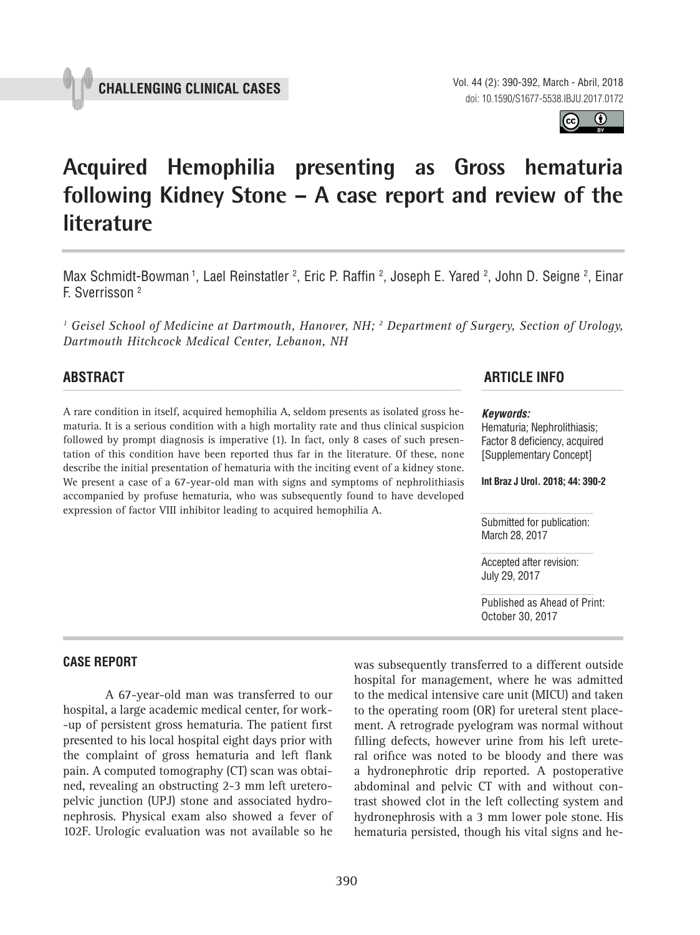



# **Acquired Hemophilia presenting as Gross hematuria following Kidney Stone – A case report and review of the literature \_\_\_\_\_\_\_\_\_\_\_\_\_\_\_\_\_\_\_\_\_\_\_\_\_\_\_\_\_\_\_\_\_\_\_\_\_\_\_\_\_\_\_\_\_\_\_**

Max Schmidt-Bowman 1, Lael Reinstatler <sup>2</sup>, Eric P. Raffin <sup>2</sup>, Joseph E. Yared <sup>2</sup>, John D. Seigne <sup>2</sup>, Einar F. Sverrisson 2

<sup>1</sup> Geisel School of Medicine at Dartmouth, Hanover, NH; <sup>2</sup> Department of Surgery, Section of Urology, *Dartmouth Hitchcock Medical Center, Lebanon, NH*

A rare condition in itself, acquired hemophilia A, seldom presents as isolated gross hematuria. It is a serious condition with a high mortality rate and thus clinical suspicion followed by prompt diagnosis is imperative (1). In fact, only 8 cases of such presentation of this condition have been reported thus far in the literature. Of these, none describe the initial presentation of hematuria with the inciting event of a kidney stone. We present a case of a 67-year-old man with signs and symptoms of nephrolithiasis accompanied by profuse hematuria, who was subsequently found to have developed expression of factor VIII inhibitor leading to acquired hemophilia A.

## **ABSTRACT ARTICLE INFO** *\_\_\_\_\_\_\_\_\_\_\_\_\_\_\_\_\_\_\_\_\_\_\_\_\_\_\_\_\_\_\_\_\_\_\_\_\_\_\_\_\_\_\_\_\_\_\_\_\_\_\_\_\_\_\_\_\_\_\_\_\_\_ \_\_\_\_\_\_\_\_\_\_\_\_\_\_\_\_\_\_\_\_\_\_*

#### *Keywords:*

Hematuria; Nephrolithiasis; Factor 8 deficiency, acquired [Supplementary Concept]

**Int Braz J Urol. 2018; 44: 390-2**

Submitted for publication: March 28, 2017

Accepted after revision: July 29, 2017

Published as Ahead of Print: October 30, 2017

#### **CASE REPORT**

A 67-year-old man was transferred to our hospital, a large academic medical center, for work- -up of persistent gross hematuria. The patient first presented to his local hospital eight days prior with the complaint of gross hematuria and left flank pain. A computed tomography (CT) scan was obtained, revealing an obstructing 2-3 mm left ureteropelvic junction (UPJ) stone and associated hydronephrosis. Physical exam also showed a fever of 102F. Urologic evaluation was not available so he

was subsequently transferred to a different outside hospital for management, where he was admitted to the medical intensive care unit (MICU) and taken to the operating room (OR) for ureteral stent placement. A retrograde pyelogram was normal without filling defects, however urine from his left ureteral orifice was noted to be bloody and there was a hydronephrotic drip reported. A postoperative abdominal and pelvic CT with and without contrast showed clot in the left collecting system and hydronephrosis with a 3 mm lower pole stone. His hematuria persisted, though his vital signs and he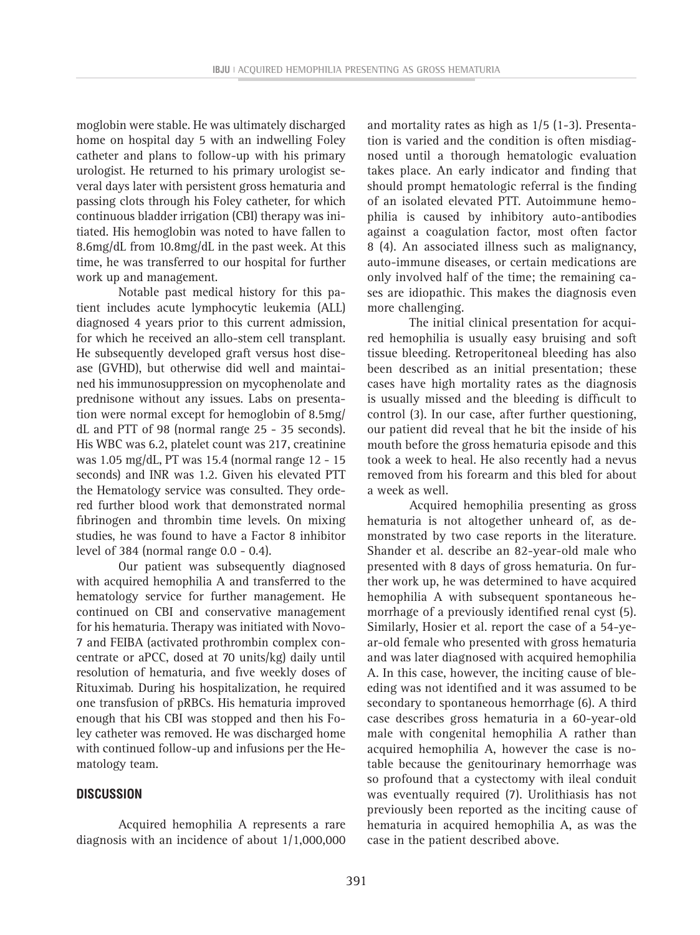moglobin were stable. He was ultimately discharged home on hospital day 5 with an indwelling Foley catheter and plans to follow-up with his primary urologist. He returned to his primary urologist several days later with persistent gross hematuria and passing clots through his Foley catheter, for which continuous bladder irrigation (CBI) therapy was initiated. His hemoglobin was noted to have fallen to 8.6mg/dL from 10.8mg/dL in the past week. At this time, he was transferred to our hospital for further work up and management.

Notable past medical history for this patient includes acute lymphocytic leukemia (ALL) diagnosed 4 years prior to this current admission, for which he received an allo-stem cell transplant. He subsequently developed graft versus host disease (GVHD), but otherwise did well and maintained his immunosuppression on mycophenolate and prednisone without any issues. Labs on presentation were normal except for hemoglobin of 8.5mg/ dL and PTT of 98 (normal range 25 - 35 seconds). His WBC was 6.2, platelet count was 217, creatinine was 1.05 mg/dL, PT was 15.4 (normal range 12 - 15 seconds) and INR was 1.2. Given his elevated PTT the Hematology service was consulted. They ordered further blood work that demonstrated normal fibrinogen and thrombin time levels. On mixing studies, he was found to have a Factor 8 inhibitor level of 384 (normal range 0.0 - 0.4).

Our patient was subsequently diagnosed with acquired hemophilia A and transferred to the hematology service for further management. He continued on CBI and conservative management for his hematuria. Therapy was initiated with Novo-7 and FEIBA (activated prothrombin complex concentrate or aPCC, dosed at 70 units/kg) daily until resolution of hematuria, and five weekly doses of Rituximab. During his hospitalization, he required one transfusion of pRBCs. His hematuria improved enough that his CBI was stopped and then his Foley catheter was removed. He was discharged home with continued follow-up and infusions per the Hematology team.

### **DISCUSSION**

Acquired hemophilia A represents a rare diagnosis with an incidence of about 1/1,000,000 and mortality rates as high as 1/5 (1-3). Presentation is varied and the condition is often misdiagnosed until a thorough hematologic evaluation takes place. An early indicator and finding that should prompt hematologic referral is the finding of an isolated elevated PTT. Autoimmune hemophilia is caused by inhibitory auto-antibodies against a coagulation factor, most often factor 8 (4). An associated illness such as malignancy, auto-immune diseases, or certain medications are only involved half of the time; the remaining cases are idiopathic. This makes the diagnosis even more challenging.

The initial clinical presentation for acquired hemophilia is usually easy bruising and soft tissue bleeding. Retroperitoneal bleeding has also been described as an initial presentation; these cases have high mortality rates as the diagnosis is usually missed and the bleeding is difficult to control (3). In our case, after further questioning, our patient did reveal that he bit the inside of his mouth before the gross hematuria episode and this took a week to heal. He also recently had a nevus removed from his forearm and this bled for about a week as well.

Acquired hemophilia presenting as gross hematuria is not altogether unheard of, as demonstrated by two case reports in the literature. Shander et al. describe an 82-year-old male who presented with 8 days of gross hematuria. On further work up, he was determined to have acquired hemophilia A with subsequent spontaneous hemorrhage of a previously identified renal cyst (5). Similarly, Hosier et al. report the case of a 54-year-old female who presented with gross hematuria and was later diagnosed with acquired hemophilia A. In this case, however, the inciting cause of bleeding was not identified and it was assumed to be secondary to spontaneous hemorrhage (6). A third case describes gross hematuria in a 60-year-old male with congenital hemophilia A rather than acquired hemophilia A, however the case is notable because the genitourinary hemorrhage was so profound that a cystectomy with ileal conduit was eventually required (7). Urolithiasis has not previously been reported as the inciting cause of hematuria in acquired hemophilia A, as was the case in the patient described above.